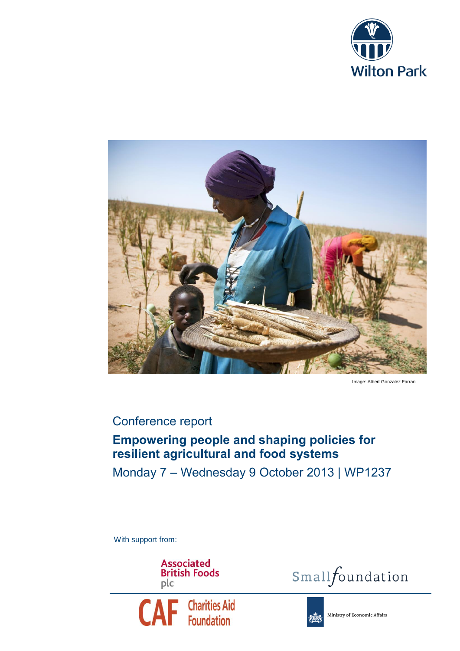



Image: Albert Gonzalez Farran

## Conference report

# **Empowering people and shaping policies for resilient agricultural and food systems**

Monday 7 – Wednesday 9 October 2013 | WP1237

With support from:

**Associated British Foods** plc







Ministry of Economic Affairs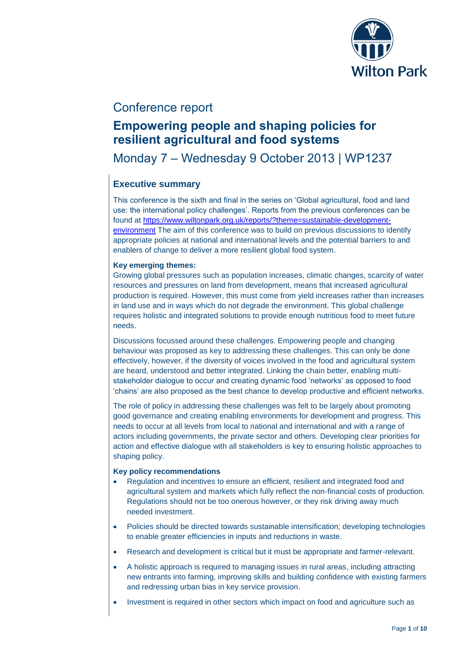

## Conference report

# **Empowering people and shaping policies for resilient agricultural and food systems**

# Monday 7 – Wednesday 9 October 2013 | WP1237

## **Executive summary**

This conference is the sixth and final in the series on 'Global agricultural, food and land use: the international policy challenges'. Reports from the previous conferences can be found at [https://www.wiltonpark.org.uk/reports/?theme=sustainable-development](https://www.wiltonpark.org.uk/reports/?theme=sustainable-development-environment)[environment](https://www.wiltonpark.org.uk/reports/?theme=sustainable-development-environment) The aim of this conference was to build on previous discussions to identify appropriate policies at national and international levels and the potential barriers to and enablers of change to deliver a more resilient global food system.

## **Key emerging themes:**

Growing global pressures such as population increases, climatic changes, scarcity of water resources and pressures on land from development, means that increased agricultural production is required. However, this must come from yield increases rather than increases in land use and in ways which do not degrade the environment. This global challenge requires holistic and integrated solutions to provide enough nutritious food to meet future needs.

Discussions focussed around these challenges. Empowering people and changing behaviour was proposed as key to addressing these challenges. This can only be done effectively, however, if the diversity of voices involved in the food and agricultural system are heard, understood and better integrated. Linking the chain better, enabling multistakeholder dialogue to occur and creating dynamic food 'networks' as opposed to food 'chains' are also proposed as the best chance to develop productive and efficient networks.

The role of policy in addressing these challenges was felt to be largely about promoting good governance and creating enabling environments for development and progress. This needs to occur at all levels from local to national and international and with a range of actors including governments, the private sector and others. Developing clear priorities for action and effective dialogue with all stakeholders is key to ensuring holistic approaches to shaping policy.

### **Key policy recommendations**

- Regulation and incentives to ensure an efficient, resilient and integrated food and agricultural system and markets which fully reflect the non-financial costs of production. Regulations should not be too onerous however, or they risk driving away much needed investment.
- Policies should be directed towards sustainable intensification; developing technologies to enable greater efficiencies in inputs and reductions in waste.
- Research and development is critical but it must be appropriate and farmer-relevant.
- A holistic approach is required to managing issues in rural areas, including attracting new entrants into farming, improving skills and building confidence with existing farmers and redressing urban bias in key service provision.
- Investment is required in other sectors which impact on food and agriculture such as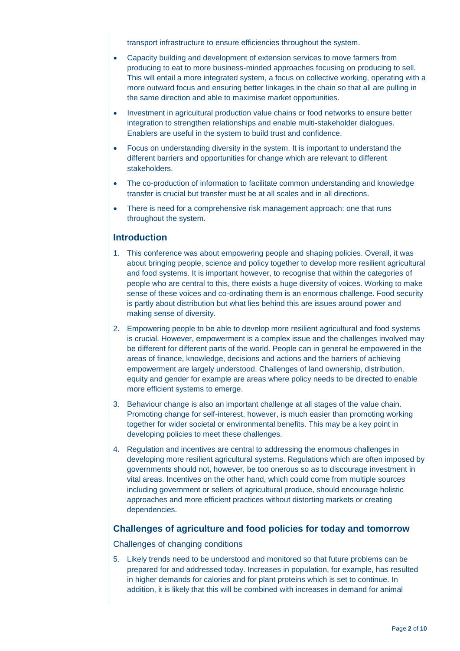transport infrastructure to ensure efficiencies throughout the system.

- Capacity building and development of extension services to move farmers from producing to eat to more business-minded approaches focusing on producing to sell. This will entail a more integrated system, a focus on collective working, operating with a more outward focus and ensuring better linkages in the chain so that all are pulling in the same direction and able to maximise market opportunities.
- Investment in agricultural production value chains or food networks to ensure better integration to strengthen relationships and enable multi-stakeholder dialogues. Enablers are useful in the system to build trust and confidence.
- Focus on understanding diversity in the system. It is important to understand the different barriers and opportunities for change which are relevant to different stakeholders.
- The co-production of information to facilitate common understanding and knowledge transfer is crucial but transfer must be at all scales and in all directions.
- There is need for a comprehensive risk management approach: one that runs throughout the system.

## **Introduction**

- 1. This conference was about empowering people and shaping policies. Overall, it was about bringing people, science and policy together to develop more resilient agricultural and food systems. It is important however, to recognise that within the categories of people who are central to this, there exists a huge diversity of voices. Working to make sense of these voices and co-ordinating them is an enormous challenge. Food security is partly about distribution but what lies behind this are issues around power and making sense of diversity.
- 2. Empowering people to be able to develop more resilient agricultural and food systems is crucial. However, empowerment is a complex issue and the challenges involved may be different for different parts of the world. People can in general be empowered in the areas of finance, knowledge, decisions and actions and the barriers of achieving empowerment are largely understood. Challenges of land ownership, distribution, equity and gender for example are areas where policy needs to be directed to enable more efficient systems to emerge.
- 3. Behaviour change is also an important challenge at all stages of the value chain. Promoting change for self-interest, however, is much easier than promoting working together for wider societal or environmental benefits. This may be a key point in developing policies to meet these challenges.
- 4. Regulation and incentives are central to addressing the enormous challenges in developing more resilient agricultural systems. Regulations which are often imposed by governments should not, however, be too onerous so as to discourage investment in vital areas. Incentives on the other hand, which could come from multiple sources including government or sellers of agricultural produce, should encourage holistic approaches and more efficient practices without distorting markets or creating dependencies.

## **Challenges of agriculture and food policies for today and tomorrow**

Challenges of changing conditions

5. Likely trends need to be understood and monitored so that future problems can be prepared for and addressed today. Increases in population, for example, has resulted in higher demands for calories and for plant proteins which is set to continue. In addition, it is likely that this will be combined with increases in demand for animal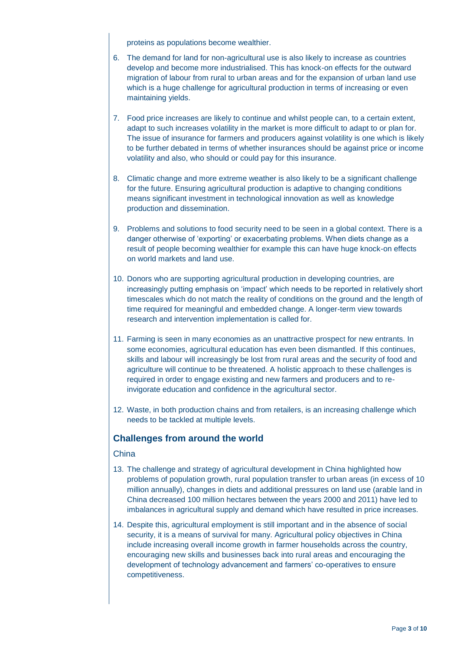proteins as populations become wealthier.

- 6. The demand for land for non-agricultural use is also likely to increase as countries develop and become more industrialised. This has knock-on effects for the outward migration of labour from rural to urban areas and for the expansion of urban land use which is a huge challenge for agricultural production in terms of increasing or even maintaining yields.
- 7. Food price increases are likely to continue and whilst people can, to a certain extent, adapt to such increases volatility in the market is more difficult to adapt to or plan for. The issue of insurance for farmers and producers against volatility is one which is likely to be further debated in terms of whether insurances should be against price or income volatility and also, who should or could pay for this insurance.
- 8. Climatic change and more extreme weather is also likely to be a significant challenge for the future. Ensuring agricultural production is adaptive to changing conditions means significant investment in technological innovation as well as knowledge production and dissemination.
- 9. Problems and solutions to food security need to be seen in a global context. There is a danger otherwise of 'exporting' or exacerbating problems. When diets change as a result of people becoming wealthier for example this can have huge knock-on effects on world markets and land use.
- 10. Donors who are supporting agricultural production in developing countries, are increasingly putting emphasis on 'impact' which needs to be reported in relatively short timescales which do not match the reality of conditions on the ground and the length of time required for meaningful and embedded change. A longer-term view towards research and intervention implementation is called for.
- 11. Farming is seen in many economies as an unattractive prospect for new entrants. In some economies, agricultural education has even been dismantled. If this continues, skills and labour will increasingly be lost from rural areas and the security of food and agriculture will continue to be threatened. A holistic approach to these challenges is required in order to engage existing and new farmers and producers and to reinvigorate education and confidence in the agricultural sector.
- 12. Waste, in both production chains and from retailers, is an increasing challenge which needs to be tackled at multiple levels.

## **Challenges from around the world**

## China

- 13. The challenge and strategy of agricultural development in China highlighted how problems of population growth, rural population transfer to urban areas (in excess of 10 million annually), changes in diets and additional pressures on land use (arable land in China decreased 100 million hectares between the years 2000 and 2011) have led to imbalances in agricultural supply and demand which have resulted in price increases.
- 14. Despite this, agricultural employment is still important and in the absence of social security, it is a means of survival for many. Agricultural policy objectives in China include increasing overall income growth in farmer households across the country, encouraging new skills and businesses back into rural areas and encouraging the development of technology advancement and farmers' co-operatives to ensure competitiveness.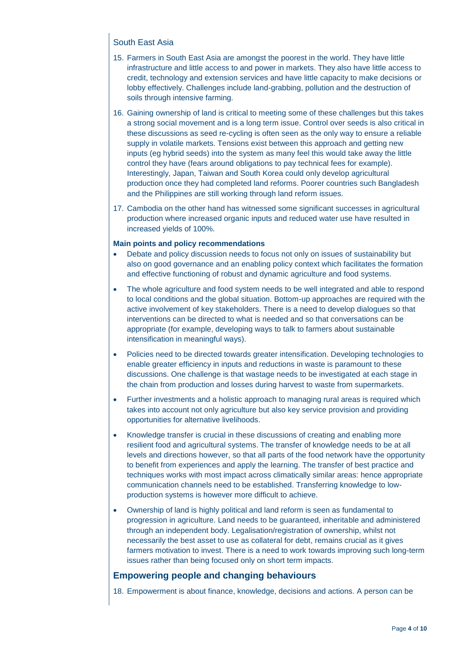## South East Asia

- 15. Farmers in South East Asia are amongst the poorest in the world. They have little infrastructure and little access to and power in markets. They also have little access to credit, technology and extension services and have little capacity to make decisions or lobby effectively. Challenges include land-grabbing, pollution and the destruction of soils through intensive farming.
- 16. Gaining ownership of land is critical to meeting some of these challenges but this takes a strong social movement and is a long term issue. Control over seeds is also critical in these discussions as seed re-cycling is often seen as the only way to ensure a reliable supply in volatile markets. Tensions exist between this approach and getting new inputs (eg hybrid seeds) into the system as many feel this would take away the little control they have (fears around obligations to pay technical fees for example). Interestingly, Japan, Taiwan and South Korea could only develop agricultural production once they had completed land reforms. Poorer countries such Bangladesh and the Philippines are still working through land reform issues.
- 17. Cambodia on the other hand has witnessed some significant successes in agricultural production where increased organic inputs and reduced water use have resulted in increased yields of 100%.

### **Main points and policy recommendations**

- Debate and policy discussion needs to focus not only on issues of sustainability but also on good governance and an enabling policy context which facilitates the formation and effective functioning of robust and dynamic agriculture and food systems.
- The whole agriculture and food system needs to be well integrated and able to respond to local conditions and the global situation. Bottom-up approaches are required with the active involvement of key stakeholders. There is a need to develop dialogues so that interventions can be directed to what is needed and so that conversations can be appropriate (for example, developing ways to talk to farmers about sustainable intensification in meaningful ways).
- Policies need to be directed towards greater intensification. Developing technologies to enable greater efficiency in inputs and reductions in waste is paramount to these discussions. One challenge is that wastage needs to be investigated at each stage in the chain from production and losses during harvest to waste from supermarkets.
- Further investments and a holistic approach to managing rural areas is required which takes into account not only agriculture but also key service provision and providing opportunities for alternative livelihoods.
- Knowledge transfer is crucial in these discussions of creating and enabling more resilient food and agricultural systems. The transfer of knowledge needs to be at all levels and directions however, so that all parts of the food network have the opportunity to benefit from experiences and apply the learning. The transfer of best practice and techniques works with most impact across climatically similar areas: hence appropriate communication channels need to be established. Transferring knowledge to lowproduction systems is however more difficult to achieve.
- Ownership of land is highly political and land reform is seen as fundamental to progression in agriculture. Land needs to be guaranteed, inheritable and administered through an independent body. Legalisation/registration of ownership, whilst not necessarily the best asset to use as collateral for debt, remains crucial as it gives farmers motivation to invest. There is a need to work towards improving such long-term issues rather than being focused only on short term impacts.

## **Empowering people and changing behaviours**

18. Empowerment is about finance, knowledge, decisions and actions. A person can be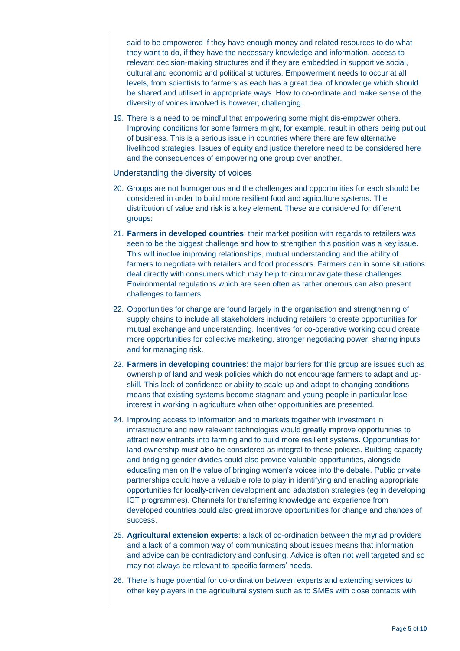said to be empowered if they have enough money and related resources to do what they want to do, if they have the necessary knowledge and information, access to relevant decision-making structures and if they are embedded in supportive social, cultural and economic and political structures. Empowerment needs to occur at all levels, from scientists to farmers as each has a great deal of knowledge which should be shared and utilised in appropriate ways. How to co-ordinate and make sense of the diversity of voices involved is however, challenging.

19. There is a need to be mindful that empowering some might dis-empower others. Improving conditions for some farmers might, for example, result in others being put out of business. This is a serious issue in countries where there are few alternative livelihood strategies. Issues of equity and justice therefore need to be considered here and the consequences of empowering one group over another.

Understanding the diversity of voices

- 20. Groups are not homogenous and the challenges and opportunities for each should be considered in order to build more resilient food and agriculture systems. The distribution of value and risk is a key element. These are considered for different groups:
- 21. **Farmers in developed countries**: their market position with regards to retailers was seen to be the biggest challenge and how to strengthen this position was a key issue. This will involve improving relationships, mutual understanding and the ability of farmers to negotiate with retailers and food processors. Farmers can in some situations deal directly with consumers which may help to circumnavigate these challenges. Environmental regulations which are seen often as rather onerous can also present challenges to farmers.
- 22. Opportunities for change are found largely in the organisation and strengthening of supply chains to include all stakeholders including retailers to create opportunities for mutual exchange and understanding. Incentives for co-operative working could create more opportunities for collective marketing, stronger negotiating power, sharing inputs and for managing risk.
- 23. **Farmers in developing countries**: the major barriers for this group are issues such as ownership of land and weak policies which do not encourage farmers to adapt and upskill. This lack of confidence or ability to scale-up and adapt to changing conditions means that existing systems become stagnant and young people in particular lose interest in working in agriculture when other opportunities are presented.
- 24. Improving access to information and to markets together with investment in infrastructure and new relevant technologies would greatly improve opportunities to attract new entrants into farming and to build more resilient systems. Opportunities for land ownership must also be considered as integral to these policies. Building capacity and bridging gender divides could also provide valuable opportunities, alongside educating men on the value of bringing women's voices into the debate. Public private partnerships could have a valuable role to play in identifying and enabling appropriate opportunities for locally-driven development and adaptation strategies (eg in developing ICT programmes). Channels for transferring knowledge and experience from developed countries could also great improve opportunities for change and chances of success.
- 25. **Agricultural extension experts**: a lack of co-ordination between the myriad providers and a lack of a common way of communicating about issues means that information and advice can be contradictory and confusing. Advice is often not well targeted and so may not always be relevant to specific farmers' needs.
- 26. There is huge potential for co-ordination between experts and extending services to other key players in the agricultural system such as to SMEs with close contacts with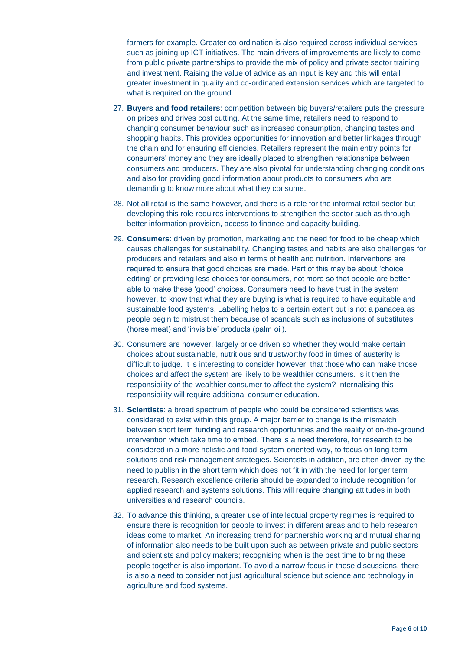farmers for example. Greater co-ordination is also required across individual services such as joining up ICT initiatives. The main drivers of improvements are likely to come from public private partnerships to provide the mix of policy and private sector training and investment. Raising the value of advice as an input is key and this will entail greater investment in quality and co-ordinated extension services which are targeted to what is required on the ground.

- 27. **Buyers and food retailers**: competition between big buyers/retailers puts the pressure on prices and drives cost cutting. At the same time, retailers need to respond to changing consumer behaviour such as increased consumption, changing tastes and shopping habits. This provides opportunities for innovation and better linkages through the chain and for ensuring efficiencies. Retailers represent the main entry points for consumers' money and they are ideally placed to strengthen relationships between consumers and producers. They are also pivotal for understanding changing conditions and also for providing good information about products to consumers who are demanding to know more about what they consume.
- 28. Not all retail is the same however, and there is a role for the informal retail sector but developing this role requires interventions to strengthen the sector such as through better information provision, access to finance and capacity building.
- 29. **Consumers**: driven by promotion, marketing and the need for food to be cheap which causes challenges for sustainability. Changing tastes and habits are also challenges for producers and retailers and also in terms of health and nutrition. Interventions are required to ensure that good choices are made. Part of this may be about 'choice editing' or providing less choices for consumers, not more so that people are better able to make these 'good' choices. Consumers need to have trust in the system however, to know that what they are buying is what is required to have equitable and sustainable food systems. Labelling helps to a certain extent but is not a panacea as people begin to mistrust them because of scandals such as inclusions of substitutes (horse meat) and 'invisible' products (palm oil).
- 30. Consumers are however, largely price driven so whether they would make certain choices about sustainable, nutritious and trustworthy food in times of austerity is difficult to judge. It is interesting to consider however, that those who can make those choices and affect the system are likely to be wealthier consumers. Is it then the responsibility of the wealthier consumer to affect the system? Internalising this responsibility will require additional consumer education.
- 31. **Scientists**: a broad spectrum of people who could be considered scientists was considered to exist within this group. A major barrier to change is the mismatch between short term funding and research opportunities and the reality of on-the-ground intervention which take time to embed. There is a need therefore, for research to be considered in a more holistic and food-system-oriented way, to focus on long-term solutions and risk management strategies. Scientists in addition, are often driven by the need to publish in the short term which does not fit in with the need for longer term research. Research excellence criteria should be expanded to include recognition for applied research and systems solutions. This will require changing attitudes in both universities and research councils.
- 32. To advance this thinking, a greater use of intellectual property regimes is required to ensure there is recognition for people to invest in different areas and to help research ideas come to market. An increasing trend for partnership working and mutual sharing of information also needs to be built upon such as between private and public sectors and scientists and policy makers; recognising when is the best time to bring these people together is also important. To avoid a narrow focus in these discussions, there is also a need to consider not just agricultural science but science and technology in agriculture and food systems.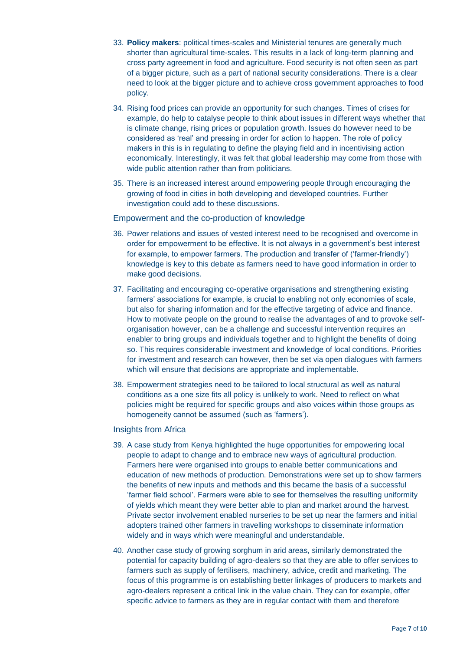- 33. **Policy makers**: political times-scales and Ministerial tenures are generally much shorter than agricultural time-scales. This results in a lack of long-term planning and cross party agreement in food and agriculture. Food security is not often seen as part of a bigger picture, such as a part of national security considerations. There is a clear need to look at the bigger picture and to achieve cross government approaches to food policy.
- 34. Rising food prices can provide an opportunity for such changes. Times of crises for example, do help to catalyse people to think about issues in different ways whether that is climate change, rising prices or population growth. Issues do however need to be considered as 'real' and pressing in order for action to happen. The role of policy makers in this is in regulating to define the playing field and in incentivising action economically. Interestingly, it was felt that global leadership may come from those with wide public attention rather than from politicians.
- 35. There is an increased interest around empowering people through encouraging the growing of food in cities in both developing and developed countries. Further investigation could add to these discussions.

Empowerment and the co-production of knowledge

- 36. Power relations and issues of vested interest need to be recognised and overcome in order for empowerment to be effective. It is not always in a government's best interest for example, to empower farmers. The production and transfer of ('farmer-friendly') knowledge is key to this debate as farmers need to have good information in order to make good decisions.
- 37. Facilitating and encouraging co-operative organisations and strengthening existing farmers' associations for example, is crucial to enabling not only economies of scale, but also for sharing information and for the effective targeting of advice and finance. How to motivate people on the ground to realise the advantages of and to provoke selforganisation however, can be a challenge and successful intervention requires an enabler to bring groups and individuals together and to highlight the benefits of doing so. This requires considerable investment and knowledge of local conditions. Priorities for investment and research can however, then be set via open dialogues with farmers which will ensure that decisions are appropriate and implementable.
- 38. Empowerment strategies need to be tailored to local structural as well as natural conditions as a one size fits all policy is unlikely to work. Need to reflect on what policies might be required for specific groups and also voices within those groups as homogeneity cannot be assumed (such as 'farmers').

### Insights from Africa

- 39. A case study from Kenya highlighted the huge opportunities for empowering local people to adapt to change and to embrace new ways of agricultural production. Farmers here were organised into groups to enable better communications and education of new methods of production. Demonstrations were set up to show farmers the benefits of new inputs and methods and this became the basis of a successful 'farmer field school'. Farmers were able to see for themselves the resulting uniformity of yields which meant they were better able to plan and market around the harvest. Private sector involvement enabled nurseries to be set up near the farmers and initial adopters trained other farmers in travelling workshops to disseminate information widely and in ways which were meaningful and understandable.
- 40. Another case study of growing sorghum in arid areas, similarly demonstrated the potential for capacity building of agro-dealers so that they are able to offer services to farmers such as supply of fertilisers, machinery, advice, credit and marketing. The focus of this programme is on establishing better linkages of producers to markets and agro-dealers represent a critical link in the value chain. They can for example, offer specific advice to farmers as they are in regular contact with them and therefore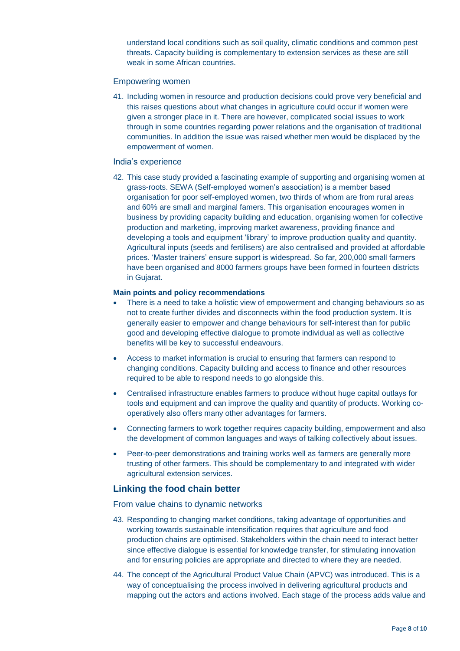understand local conditions such as soil quality, climatic conditions and common pest threats. Capacity building is complementary to extension services as these are still weak in some African countries.

#### Empowering women

41. Including women in resource and production decisions could prove very beneficial and this raises questions about what changes in agriculture could occur if women were given a stronger place in it. There are however, complicated social issues to work through in some countries regarding power relations and the organisation of traditional communities. In addition the issue was raised whether men would be displaced by the empowerment of women.

#### India's experience

42. This case study provided a fascinating example of supporting and organising women at grass-roots. SEWA (Self-employed women's association) is a member based organisation for poor self-employed women, two thirds of whom are from rural areas and 60% are small and marginal famers. This organisation encourages women in business by providing capacity building and education, organising women for collective production and marketing, improving market awareness, providing finance and developing a tools and equipment 'library' to improve production quality and quantity. Agricultural inputs (seeds and fertilisers) are also centralised and provided at affordable prices. 'Master trainers' ensure support is widespread. So far, 200,000 small farmers have been organised and 8000 farmers groups have been formed in fourteen districts in Gujarat.

#### **Main points and policy recommendations**

- There is a need to take a holistic view of empowerment and changing behaviours so as not to create further divides and disconnects within the food production system. It is generally easier to empower and change behaviours for self-interest than for public good and developing effective dialogue to promote individual as well as collective benefits will be key to successful endeavours.
- Access to market information is crucial to ensuring that farmers can respond to changing conditions. Capacity building and access to finance and other resources required to be able to respond needs to go alongside this.
- Centralised infrastructure enables farmers to produce without huge capital outlays for tools and equipment and can improve the quality and quantity of products. Working cooperatively also offers many other advantages for farmers.
- Connecting farmers to work together requires capacity building, empowerment and also the development of common languages and ways of talking collectively about issues.
- Peer-to-peer demonstrations and training works well as farmers are generally more trusting of other farmers. This should be complementary to and integrated with wider agricultural extension services.

## **Linking the food chain better**

From value chains to dynamic networks

- 43. Responding to changing market conditions, taking advantage of opportunities and working towards sustainable intensification requires that agriculture and food production chains are optimised. Stakeholders within the chain need to interact better since effective dialogue is essential for knowledge transfer, for stimulating innovation and for ensuring policies are appropriate and directed to where they are needed.
- 44. The concept of the Agricultural Product Value Chain (APVC) was introduced. This is a way of conceptualising the process involved in delivering agricultural products and mapping out the actors and actions involved. Each stage of the process adds value and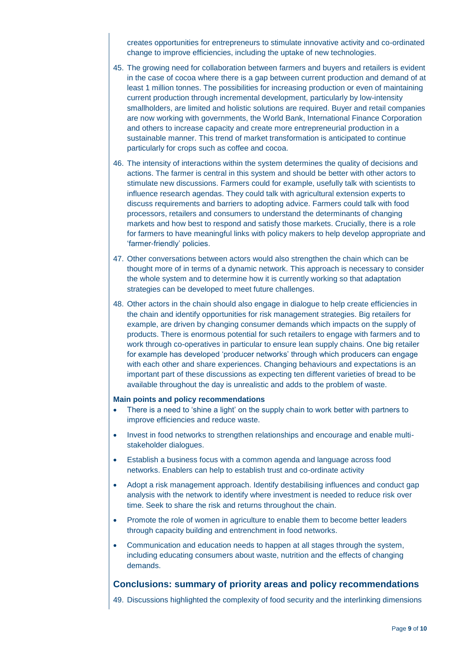creates opportunities for entrepreneurs to stimulate innovative activity and co-ordinated change to improve efficiencies, including the uptake of new technologies.

- 45. The growing need for collaboration between farmers and buyers and retailers is evident in the case of cocoa where there is a gap between current production and demand of at least 1 million tonnes. The possibilities for increasing production or even of maintaining current production through incremental development, particularly by low-intensity smallholders, are limited and holistic solutions are required. Buyer and retail companies are now working with governments, the World Bank, International Finance Corporation and others to increase capacity and create more entrepreneurial production in a sustainable manner. This trend of market transformation is anticipated to continue particularly for crops such as coffee and cocoa.
- 46. The intensity of interactions within the system determines the quality of decisions and actions. The farmer is central in this system and should be better with other actors to stimulate new discussions. Farmers could for example, usefully talk with scientists to influence research agendas. They could talk with agricultural extension experts to discuss requirements and barriers to adopting advice. Farmers could talk with food processors, retailers and consumers to understand the determinants of changing markets and how best to respond and satisfy those markets. Crucially, there is a role for farmers to have meaningful links with policy makers to help develop appropriate and 'farmer-friendly' policies.
- 47. Other conversations between actors would also strengthen the chain which can be thought more of in terms of a dynamic network. This approach is necessary to consider the whole system and to determine how it is currently working so that adaptation strategies can be developed to meet future challenges.
- 48. Other actors in the chain should also engage in dialogue to help create efficiencies in the chain and identify opportunities for risk management strategies. Big retailers for example, are driven by changing consumer demands which impacts on the supply of products. There is enormous potential for such retailers to engage with farmers and to work through co-operatives in particular to ensure lean supply chains. One big retailer for example has developed 'producer networks' through which producers can engage with each other and share experiences. Changing behaviours and expectations is an important part of these discussions as expecting ten different varieties of bread to be available throughout the day is unrealistic and adds to the problem of waste.

#### **Main points and policy recommendations**

- There is a need to 'shine a light' on the supply chain to work better with partners to improve efficiencies and reduce waste.
- Invest in food networks to strengthen relationships and encourage and enable multistakeholder dialogues.
- Establish a business focus with a common agenda and language across food networks. Enablers can help to establish trust and co-ordinate activity
- Adopt a risk management approach. Identify destabilising influences and conduct gap analysis with the network to identify where investment is needed to reduce risk over time. Seek to share the risk and returns throughout the chain.
- Promote the role of women in agriculture to enable them to become better leaders through capacity building and entrenchment in food networks.
- Communication and education needs to happen at all stages through the system, including educating consumers about waste, nutrition and the effects of changing demands.

### **Conclusions: summary of priority areas and policy recommendations**

49. Discussions highlighted the complexity of food security and the interlinking dimensions